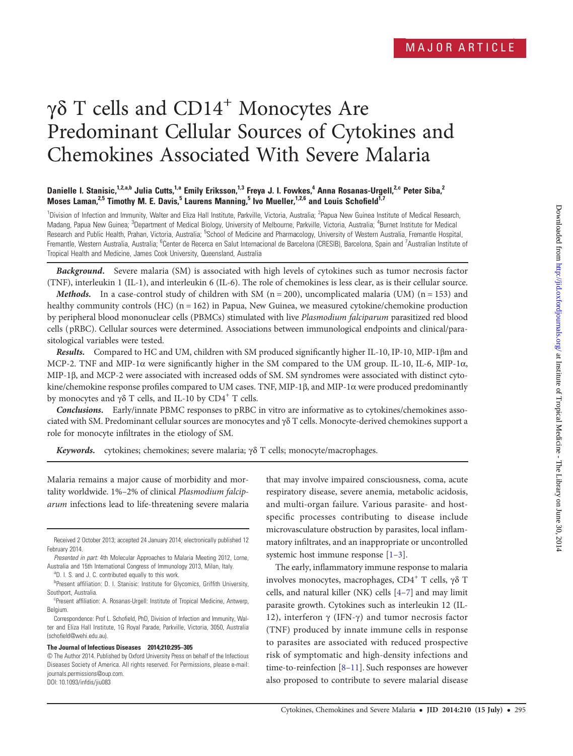# γδ T cells and CD14<sup>+</sup> Monocytes Are Predominant Cellular Sources of Cytokines and Chemokines Associated With Severe Malaria

# Danielle I. Stanisic,<sup>1,2,a,b</sup> Julia Cutts,<sup>1,a</sup> Emily Eriksson,<sup>1,3</sup> Freya J. I. Fowkes,<sup>4</sup> Anna Rosanas-Urgell,<sup>2,c</sup> Peter Siba,<sup>2</sup> Moses Laman,<sup>2,5</sup> Timothy M. E. Davis,<sup>5</sup> Laurens Manning,<sup>5</sup> Ivo Mueller,<sup>1,2,6</sup> and Louis Schofield<sup>1,7</sup>

<sup>1</sup>Division of Infection and Immunity, Walter and Eliza Hall Institute, Parkville, Victoria, Australia; <sup>2</sup>Papua New Guinea Institute of Medical Research, Madang, Papua New Guinea; <sup>3</sup>Department of Medical Biology, University of Melbourne, Parkville, Victoria, Australia; <sup>4</sup>Burnet Institute for Medical Research and Public Health, Prahan, Victoria, Australia; <sup>5</sup>School of Medicine and Pharmacology, University of Western Australia, Fremantle Hospital, Fremantle, Western Australia, Australia; <sup>6</sup>Center de Recerca en Salut Internacional de Barcelona (CRESIB), Barcelona, Spain and <sup>7</sup>Australian Institute of Tropical Health and Medicine, James Cook University, Queensland, Australia

Background. Severe malaria (SM) is associated with high levels of cytokines such as tumor necrosis factor (TNF), interleukin 1 (IL-1), and interleukin 6 (IL-6). The role of chemokines is less clear, as is their cellular source.

**Methods.** In a case-control study of children with SM ( $n = 200$ ), uncomplicated malaria (UM) ( $n = 153$ ) and healthy community controls (HC)  $(n = 162)$  in Papua, New Guinea, we measured cytokine/chemokine production by peripheral blood mononuclear cells (PBMCs) stimulated with live Plasmodium falciparum parasitized red blood cells ( pRBC). Cellular sources were determined. Associations between immunological endpoints and clinical/parasitological variables were tested.

Results. Compared to HC and UM, children with SM produced significantly higher IL-10, IP-10, MIP-1βm and MCP-2. TNF and MIP-1α were significantly higher in the SM compared to the UM group. IL-10, IL-6, MIP-1α, MIP-1β, and MCP-2 were associated with increased odds of SM. SM syndromes were associated with distinct cytokine/chemokine response profiles compared to UM cases. TNF, MIP-1β, and MIP-1α were produced predominantly by monocytes and  $\gamma\delta$  T cells, and IL-10 by CD4<sup>+</sup> T cells.

Conclusions. Early/innate PBMC responses to pRBC in vitro are informative as to cytokines/chemokines associated with SM. Predominant cellular sources are monocytes and γδ T cells. Monocyte-derived chemokines support a role for monocyte infiltrates in the etiology of SM.

Keywords. cytokines; chemokines; severe malaria; γδ T cells; monocyte/macrophages.

Malaria remains a major cause of morbidity and mortality worldwide. 1%–2% of clinical Plasmodium falciparum infections lead to life-threatening severe malaria

#### The Journal of Infectious Diseases 2014;210:295–305

that may involve impaired consciousness, coma, acute respiratory disease, severe anemia, metabolic acidosis, and multi-organ failure. Various parasite- and hostspecific processes contributing to disease include microvasculature obstruction by parasites, local inflammatory infiltrates, and an inappropriate or uncontrolled systemic host immune response [\[1](#page-9-0)–[3](#page-9-0)].

The early, inflammatory immune response to malaria involves monocytes, macrophages, CD4<sup>+</sup> T cells, γδ T cells, and natural killer (NK) cells [\[4](#page-9-0)–[7](#page-9-0)] and may limit parasite growth. Cytokines such as interleukin 12 (IL-12), interferon γ (IFN-γ) and tumor necrosis factor (TNF) produced by innate immune cells in response to parasites are associated with reduced prospective risk of symptomatic and high-density infections and time-to-reinfection [[8](#page-9-0)–[11\]](#page-9-0). Such responses are however also proposed to contribute to severe malarial disease

Received 2 October 2013; accepted 24 January 2014; electronically published 12 February 2014.

Presented in part: 4th Molecular Approaches to Malaria Meeting 2012, Lorne, Australia and 15th International Congress of Immunology 2013, Milan, Italy.

<sup>&</sup>lt;sup>a</sup>D. I. S. and J. C. contributed equally to this work.

**Present affiliation: D. I. Stanisic: Institute for Glycomics, Griffith University,** Southport, Australia.

c Present affiliation: A. Rosanas-Urgell: Institute of Tropical Medicine, Antwerp, Belgium.

Correspondence: Prof L. Schofield, PhD, Division of Infection and Immunity, Walter and Eliza Hall Institute, 1G Royal Parade, Parkville, Victoria, 3050, Australia (schofi[eld@wehi.edu.au\)](mailto:schofield@wehi.edu.au).

<sup>©</sup> The Author 2014. Published by Oxford University Press on behalf of the Infectious Diseases Society of America. All rights reserved. For Permissions, please e-mail: [journals.permissions@oup.com](mailto:journals.permissions@oup.com). DOI: 10.1093/infdis/jiu083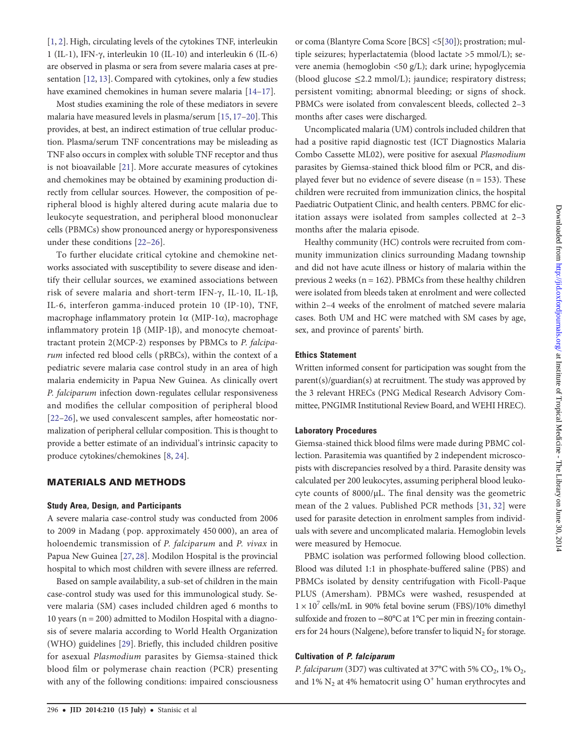[\[1,](#page-9-0) [2](#page-9-0)]. High, circulating levels of the cytokines TNF, interleukin 1 (IL-1), IFN-γ, interleukin 10 (IL-10) and interleukin 6 (IL-6) are observed in plasma or sera from severe malaria cases at presentation [\[12,](#page-9-0) [13\]](#page-9-0). Compared with cytokines, only a few studies have examined chemokines in human severe malaria [\[14](#page-9-0)–[17](#page-9-0)].

Most studies examining the role of these mediators in severe malaria have measured levels in plasma/serum [[15,](#page-9-0) [17](#page-9-0)–[20](#page-9-0)]. This provides, at best, an indirect estimation of true cellular production. Plasma/serum TNF concentrations may be misleading as TNF also occurs in complex with soluble TNF receptor and thus is not bioavailable [\[21\]](#page-9-0). More accurate measures of cytokines and chemokines may be obtained by examining production directly from cellular sources. However, the composition of peripheral blood is highly altered during acute malaria due to leukocyte sequestration, and peripheral blood mononuclear cells (PBMCs) show pronounced anergy or hyporesponsiveness under these conditions [[22](#page-9-0)–[26\]](#page-9-0).

To further elucidate critical cytokine and chemokine networks associated with susceptibility to severe disease and identify their cellular sources, we examined associations between risk of severe malaria and short-term IFN-γ, IL-10, IL-1β, IL-6, interferon gamma-induced protein 10 (IP-10), TNF, macrophage inflammatory protein 1α (MIP-1α), macrophage inflammatory protein 1β (MIP-1β), and monocyte chemoattractant protein 2(MCP-2) responses by PBMCs to P. falciparum infected red blood cells ( pRBCs), within the context of a pediatric severe malaria case control study in an area of high malaria endemicity in Papua New Guinea. As clinically overt P. falciparum infection down-regulates cellular responsiveness and modifies the cellular composition of peripheral blood [\[22](#page-9-0)–[26](#page-9-0)], we used convalescent samples, after homeostatic normalization of peripheral cellular composition. This is thought to provide a better estimate of an individual's intrinsic capacity to produce cytokines/chemokines [[8](#page-9-0), [24\]](#page-9-0).

## MATERIALS AND METHODS

#### Study Area, Design, and Participants

A severe malaria case-control study was conducted from 2006 to 2009 in Madang ( pop. approximately 450 000), an area of holoendemic transmission of P. falciparum and P. vivax in Papua New Guinea [[27,](#page-9-0) [28\]](#page-9-0). Modilon Hospital is the provincial hospital to which most children with severe illness are referred.

Based on sample availability, a sub-set of children in the main case-control study was used for this immunological study. Severe malaria (SM) cases included children aged 6 months to 10 years (n = 200) admitted to Modilon Hospital with a diagnosis of severe malaria according to World Health Organization (WHO) guidelines [\[29](#page-9-0)]. Briefly, this included children positive for asexual Plasmodium parasites by Giemsa-stained thick blood film or polymerase chain reaction (PCR) presenting with any of the following conditions: impaired consciousness or coma (Blantyre Coma Score [BCS] <5[[30](#page-9-0)]); prostration; multiple seizures; hyperlactatemia (blood lactate >5 mmol/L); severe anemia (hemoglobin <50 g/L); dark urine; hypoglycemia (blood glucose ≤2.2 mmol/L); jaundice; respiratory distress; persistent vomiting; abnormal bleeding; or signs of shock. PBMCs were isolated from convalescent bleeds, collected 2–3 months after cases were discharged.

Uncomplicated malaria (UM) controls included children that had a positive rapid diagnostic test (ICT Diagnostics Malaria Combo Cassette ML02), were positive for asexual Plasmodium parasites by Giemsa-stained thick blood film or PCR, and displayed fever but no evidence of severe disease  $(n = 153)$ . These children were recruited from immunization clinics, the hospital Paediatric Outpatient Clinic, and health centers. PBMC for elicitation assays were isolated from samples collected at 2–3 months after the malaria episode.

Healthy community (HC) controls were recruited from community immunization clinics surrounding Madang township and did not have acute illness or history of malaria within the previous 2 weeks ( $n = 162$ ). PBMCs from these healthy children were isolated from bleeds taken at enrolment and were collected within 2–4 weeks of the enrolment of matched severe malaria cases. Both UM and HC were matched with SM cases by age, sex, and province of parents' birth.

#### Ethics Statement

Written informed consent for participation was sought from the parent(s)/guardian(s) at recruitment. The study was approved by the 3 relevant HRECs (PNG Medical Research Advisory Committee, PNGIMR Institutional Review Board, and WEHI HREC).

#### Laboratory Procedures

Giemsa-stained thick blood films were made during PBMC collection. Parasitemia was quantified by 2 independent microscopists with discrepancies resolved by a third. Parasite density was calculated per 200 leukocytes, assuming peripheral blood leukocyte counts of 8000/µL. The final density was the geometric mean of the 2 values. Published PCR methods [\[31,](#page-10-0) [32\]](#page-10-0) were used for parasite detection in enrolment samples from individuals with severe and uncomplicated malaria. Hemoglobin levels were measured by Hemocue.

PBMC isolation was performed following blood collection. Blood was diluted 1:1 in phosphate-buffered saline (PBS) and PBMCs isolated by density centrifugation with Ficoll-Paque PLUS (Amersham). PBMCs were washed, resuspended at  $1 \times 10^7$  cells/mL in 90% fetal bovine serum (FBS)/10% dimethyl sulfoxide and frozen to −80°C at 1°C per min in freezing containers for 24 hours (Nalgene), before transfer to liquid  $N_2$  for storage.

#### Cultivation of P. falciparum

P. falciparum (3D7) was cultivated at 37°C with 5%  $CO_2$ , 1%  $O_2$ , and 1%  $N_2$  at 4% hematocrit using  $O<sup>+</sup>$  human erythrocytes and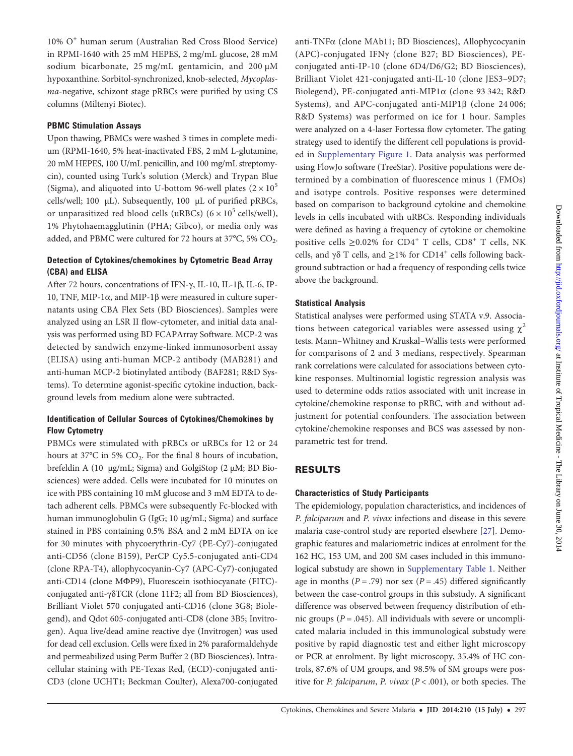10% O<sup>+</sup> human serum (Australian Red Cross Blood Service) in RPMI-1640 with 25 mM HEPES, 2 mg/mL glucose, 28 mM sodium bicarbonate, 25 mg/mL gentamicin, and 200 µM hypoxanthine. Sorbitol-synchronized, knob-selected, Mycoplasma-negative, schizont stage pRBCs were purified by using CS columns (Miltenyi Biotec).

# PBMC Stimulation Assays

Upon thawing, PBMCs were washed 3 times in complete medium (RPMI-1640, 5% heat-inactivated FBS, 2 mM L-glutamine, 20 mM HEPES, 100 U/mL penicillin, and 100 mg/mL streptomycin), counted using Turk's solution (Merck) and Trypan Blue (Sigma), and aliquoted into U-bottom 96-well plates ( $2 \times 10^5$ ) cells/well; 100  $\mu$ L). Subsequently, 100  $\mu$ L of purified pRBCs, or unparasitized red blood cells (uRBCs) ( $6 \times 10^5$  cells/well), 1% Phytohaemagglutinin (PHA; Gibco), or media only was added, and PBMC were cultured for 72 hours at 37°C, 5%  $CO<sub>2</sub>$ .

# Detection of Cytokines/chemokines by Cytometric Bead Array (CBA) and ELISA

After 72 hours, concentrations of IFN-γ, IL-10, IL-1β, IL-6, IP-10, TNF, MIP-1α, and MIP-1β were measured in culture supernatants using CBA Flex Sets (BD Biosciences). Samples were analyzed using an LSR II flow-cytometer, and initial data analysis was performed using BD FCAPArray Software. MCP-2 was detected by sandwich enzyme-linked immunosorbent assay (ELISA) using anti-human MCP-2 antibody (MAB281) and anti-human MCP-2 biotinylated antibody (BAF281; R&D Systems). To determine agonist-specific cytokine induction, background levels from medium alone were subtracted.

# Identification of Cellular Sources of Cytokines/Chemokines by Flow Cytometry

PBMCs were stimulated with pRBCs or uRBCs for 12 or 24 hours at 37°C in 5% CO<sub>2</sub>. For the final 8 hours of incubation, brefeldin A (10 µg/mL; Sigma) and GolgiStop (2 µM; BD Biosciences) were added. Cells were incubated for 10 minutes on ice with PBS containing 10 mM glucose and 3 mM EDTA to detach adherent cells. PBMCs were subsequently Fc-blocked with human immunoglobulin G (IgG; 10 µg/mL; Sigma) and surface stained in PBS containing 0.5% BSA and 2 mM EDTA on ice for 30 minutes with phycoerythrin-Cy7 (PE-Cy7)-conjugated anti-CD56 (clone B159), PerCP Cy5.5-conjugated anti-CD4 (clone RPA-T4), allophycocyanin-Cy7 (APC-Cy7)-conjugated anti-CD14 (clone MΦP9), Fluorescein isothiocyanate (FITC) conjugated anti-γδTCR (clone 11F2; all from BD Biosciences), Brilliant Violet 570 conjugated anti-CD16 (clone 3G8; Biolegend), and Qdot 605-conjugated anti-CD8 (clone 3B5; Invitrogen). Aqua live/dead amine reactive dye (Invitrogen) was used for dead cell exclusion. Cells were fixed in 2% paraformaldehyde and permeabilized using Perm Buffer 2 (BD Biosciences). Intracellular staining with PE-Texas Red, (ECD)-conjugated anti-CD3 (clone UCHT1; Beckman Coulter), Alexa700-conjugated anti-TNFα (clone MAb11; BD Biosciences), Allophycocyanin (APC)-conjugated IFNγ (clone B27; BD Biosciences), PEconjugated anti-IP-10 (clone 6D4/D6/G2; BD Biosciences), Brilliant Violet 421-conjugated anti-IL-10 (clone JES3–9D7; Biolegend), PE-conjugated anti-MIP1α (clone 93 342; R&D Systems), and APC-conjugated anti-MIP1β (clone 24 006; R&D Systems) was performed on ice for 1 hour. Samples were analyzed on a 4-laser Fortessa flow cytometer. The gating strategy used to identify the different cell populations is provided in [Supplementary Figure 1.](http://jid.oxfordjournals.org/lookup/suppl/doi:10.1093/infdis/jiu083/-/DC1) Data analysis was performed using FlowJo software (TreeStar). Positive populations were determined by a combination of fluorescence minus 1 (FMOs) and isotype controls. Positive responses were determined based on comparison to background cytokine and chemokine levels in cells incubated with uRBCs. Responding individuals were defined as having a frequency of cytokine or chemokine positive cells  $\geq$ 0.02% for CD4<sup>+</sup> T cells, CD8<sup>+</sup> T cells, NK cells, and γδ T cells, and  $\geq$ 1% for CD14<sup>+</sup> cells following background subtraction or had a frequency of responding cells twice above the background.

# Statistical Analysis

Statistical analyses were performed using STATA v.9. Associations between categorical variables were assessed using  $\chi^2$ tests. Mann–Whitney and Kruskal–Wallis tests were performed for comparisons of 2 and 3 medians, respectively. Spearman rank correlations were calculated for associations between cytokine responses. Multinomial logistic regression analysis was used to determine odds ratios associated with unit increase in cytokine/chemokine response to pRBC, with and without adjustment for potential confounders. The association between cytokine/chemokine responses and BCS was assessed by nonparametric test for trend.

# RESULTS

# Characteristics of Study Participants

The epidemiology, population characteristics, and incidences of P. falciparum and P. vivax infections and disease in this severe malaria case-control study are reported elsewhere [[27\]](#page-9-0). Demographic features and malariometric indices at enrolment for the 162 HC, 153 UM, and 200 SM cases included in this immunological substudy are shown in [Supplementary Table 1](http://jid.oxfordjournals.org/lookup/suppl/doi:10.1093/infdis/jiu083/-/DC1). Neither age in months ( $P = .79$ ) nor sex ( $P = .45$ ) differed significantly between the case-control groups in this substudy. A significant difference was observed between frequency distribution of ethnic groups ( $P = .045$ ). All individuals with severe or uncomplicated malaria included in this immunological substudy were positive by rapid diagnostic test and either light microscopy or PCR at enrolment. By light microscopy, 35.4% of HC controls, 87.6% of UM groups, and 98.5% of SM groups were positive for P. falciparum, P. vivax ( $P < .001$ ), or both species. The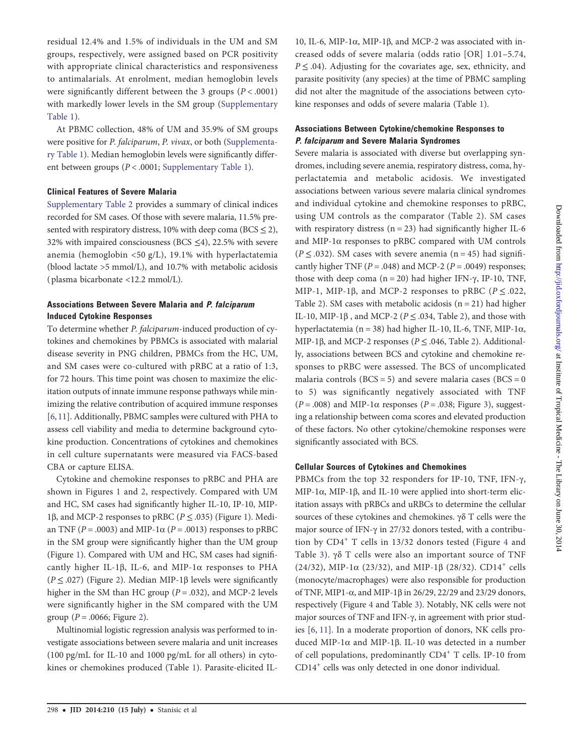residual 12.4% and 1.5% of individuals in the UM and SM groups, respectively, were assigned based on PCR positivity with appropriate clinical characteristics and responsiveness to antimalarials. At enrolment, median hemoglobin levels were significantly different between the 3 groups  $(P < .0001)$ with markedly lower levels in the SM group [\(Supplementary](http://jid.oxfordjournals.org/lookup/suppl/doi:10.1093/infdis/jiu083/-/DC1) [Table 1](http://jid.oxfordjournals.org/lookup/suppl/doi:10.1093/infdis/jiu083/-/DC1)).

At PBMC collection, 48% of UM and 35.9% of SM groups were positive for P. falciparum, P. vivax, or both [\(Supplementa](http://jid.oxfordjournals.org/lookup/suppl/doi:10.1093/infdis/jiu083/-/DC1)[ry Table 1\)](http://jid.oxfordjournals.org/lookup/suppl/doi:10.1093/infdis/jiu083/-/DC1). Median hemoglobin levels were significantly different between groups (P < .0001; [Supplementary Table 1](http://jid.oxfordjournals.org/lookup/suppl/doi:10.1093/infdis/jiu083/-/DC1)).

### Clinical Features of Severe Malaria

[Supplementary Table 2](http://jid.oxfordjournals.org/lookup/suppl/doi:10.1093/infdis/jiu083/-/DC1) provides a summary of clinical indices recorded for SM cases. Of those with severe malaria, 11.5% presented with respiratory distress, 10% with deep coma ( $BCS \le 2$ ), 32% with impaired consciousness (BCS  $\leq$ 4), 22.5% with severe anemia (hemoglobin <50 g/L), 19.1% with hyperlactatemia (blood lactate >5 mmol/L), and 10.7% with metabolic acidosis ( plasma bicarbonate <12.2 mmol/L).

# Associations Between Severe Malaria and P. falciparum Induced Cytokine Responses

To determine whether P. falciparum-induced production of cytokines and chemokines by PBMCs is associated with malarial disease severity in PNG children, PBMCs from the HC, UM, and SM cases were co-cultured with pRBC at a ratio of 1:3, for 72 hours. This time point was chosen to maximize the elicitation outputs of innate immune response pathways while minimizing the relative contribution of acquired immune responses [\[6,](#page-9-0) [11](#page-9-0)]. Additionally, PBMC samples were cultured with PHA to assess cell viability and media to determine background cytokine production. Concentrations of cytokines and chemokines in cell culture supernatants were measured via FACS-based CBA or capture ELISA.

Cytokine and chemokine responses to pRBC and PHA are shown in Figures [1](#page-4-0) and [2](#page-5-0), respectively. Compared with UM and HC, SM cases had significantly higher IL-10, IP-10, MIP-[1](#page-4-0)β, and MCP-2 responses to pRBC ( $P \leq .035$ ) (Figure 1). Median TNF ( $P = .0003$ ) and MIP-1 $\alpha$  ( $P = .0013$ ) responses to pRBC in the SM group were significantly higher than the UM group (Figure [1\)](#page-4-0). Compared with UM and HC, SM cases had significantly higher IL-1β, IL-6, and MIP-1α responses to PHA ( $P \leq .027$ ) (Figure [2\)](#page-5-0). Median MIP-1 $\beta$  levels were significantly higher in the SM than HC group ( $P = .032$ ), and MCP-2 levels were significantly higher in the SM compared with the UM group ( $P = .0066$ ; Figure [2](#page-5-0)).

Multinomial logistic regression analysis was performed to investigate associations between severe malaria and unit increases (100 pg/mL for IL-10 and 1000 pg/mL for all others) in cytokines or chemokines produced (Table [1\)](#page-6-0). Parasite-elicited IL-

10, IL-6, MIP-1α, MIP-1β, and MCP-2 was associated with increased odds of severe malaria (odds ratio [OR] 1.01–5.74,  $P \leq .04$ ). Adjusting for the covariates age, sex, ethnicity, and parasite positivity (any species) at the time of PBMC sampling did not alter the magnitude of the associations between cytokine responses and odds of severe malaria (Table [1\)](#page-6-0).

# Associations Between Cytokine/chemokine Responses to P. falciparum and Severe Malaria Syndromes

Severe malaria is associated with diverse but overlapping syndromes, including severe anemia, respiratory distress, coma, hyperlactatemia and metabolic acidosis. We investigated associations between various severe malaria clinical syndromes and individual cytokine and chemokine responses to pRBC, using UM controls as the comparator (Table [2\)](#page-7-0). SM cases with respiratory distress  $(n = 23)$  had significantly higher IL-6 and MIP-1α responses to pRBC compared with UM controls ( $P \leq 0.032$ ). SM cases with severe anemia ( $n = 45$ ) had significantly higher TNF ( $P = .048$ ) and MCP-2 ( $P = .0049$ ) responses; those with deep coma  $(n = 20)$  had higher IFN-γ, IP-10, TNF, MIP-1, MIP-1 $\beta$ , and MCP-2 responses to pRBC ( $P \le 0.022$ , Table [2](#page-7-0)). SM cases with metabolic acidosis  $(n = 21)$  had higher IL-10, MIP-1 $\beta$ , and MCP-[2](#page-7-0) ( $P \le 0.034$ , Table 2), and those with hyperlactatemia (n = 38) had higher IL-10, IL-6, TNF, MIP-1α, MIP-1β, and MCP-[2](#page-7-0) responses ( $P \leq .046$ , Table 2). Additionally, associations between BCS and cytokine and chemokine responses to pRBC were assessed. The BCS of uncomplicated malaria controls ( $BCS = 5$ ) and severe malaria cases ( $BCS = 0$ to 5) was significantly negatively associated with TNF  $(P = .008)$  and MIP-1 $\alpha$  responses  $(P = .038;$  Figure [3\)](#page-7-0), suggesting a relationship between coma scores and elevated production of these factors. No other cytokine/chemokine responses were significantly associated with BCS.

## Cellular Sources of Cytokines and Chemokines

PBMCs from the top 32 responders for IP-10, TNF, IFN-γ, MIP-1α, MIP-1β, and IL-10 were applied into short-term elicitation assays with pRBCs and uRBCs to determine the cellular sources of these cytokines and chemokines. γδ T cells were the major source of IFN-γ in 27/32 donors tested, with a contribu-tion by CD[4](#page-8-0)<sup>+</sup> T cells in 13/32 donors tested (Figure 4 and Table [3](#page-8-0)). γδ T cells were also an important source of TNF (24/32), MIP-1 $\alpha$  (23/32), and MIP-1 $\beta$  (28/32). CD14<sup>+</sup> cells (monocyte/macrophages) were also responsible for production of TNF, MIP1-α, and MIP-1β in 26/29, 22/29 and 23/29 donors, respectively (Figure [4](#page-8-0) and Table [3](#page-8-0)). Notably, NK cells were not major sources of TNF and IFN-γ, in agreement with prior studies [\[6,](#page-9-0) [11](#page-9-0)]. In a moderate proportion of donors, NK cells produced MIP-1α and MIP-1β. IL-10 was detected in a number of cell populations, predominantly  $CD4^+$  T cells. IP-10 from CD14<sup>+</sup> cells was only detected in one donor individual.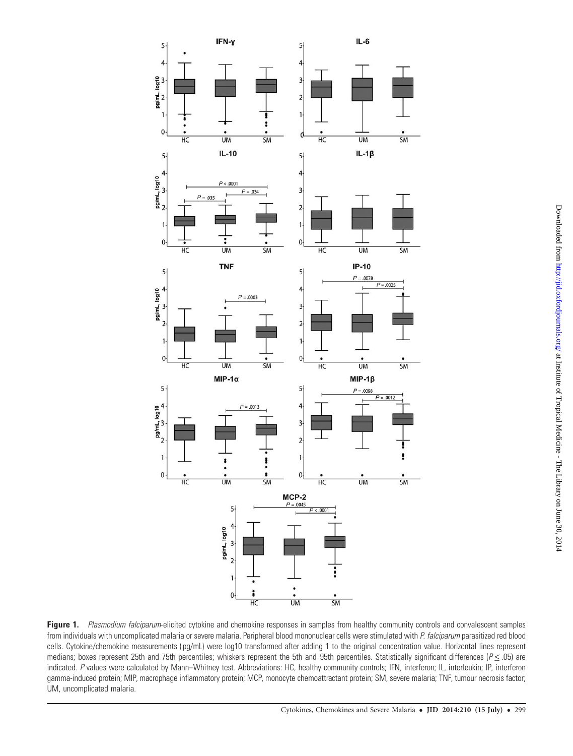<span id="page-4-0"></span>

Figure 1. Plasmodium falciparum-elicited cytokine and chemokine responses in samples from healthy community controls and convalescent samples from individuals with uncomplicated malaria or severe malaria. Peripheral blood mononuclear cells were stimulated with P. falciparum parasitized red blood cells. Cytokine/chemokine measurements ( pg/mL) were log10 transformed after adding 1 to the original concentration value. Horizontal lines represent medians; boxes represent 25th and 75th percentiles; whiskers represent the 5th and 95th percentiles. Statistically significant differences ( $P \le .05$ ) are indicated. P values were calculated by Mann–Whitney test. Abbreviations: HC, healthy community controls; IFN, interferon; IL, interleukin; IP, interferon gamma-induced protein; MIP, macrophage inflammatory protein; MCP, monocyte chemoattractant protein; SM, severe malaria; TNF, tumour necrosis factor; UM, uncomplicated malaria.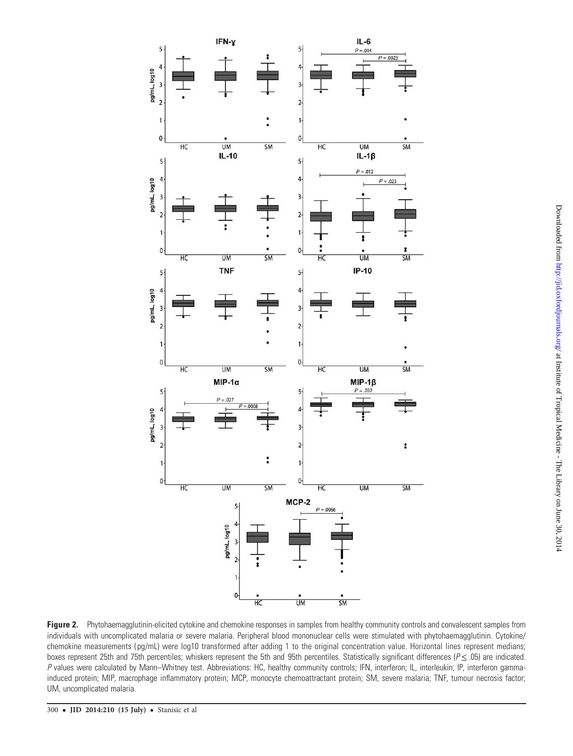<span id="page-5-0"></span>

Figure 2. Phytohaemagglutinin-elicited cytokine and chemokine responses in samples from healthy community controls and convalescent samples from individuals with uncomplicated malaria or severe malaria. Peripheral blood mononuclear cells were stimulated with phytohaemagglutinin. Cytokine/ chemokine measurements (pg/mL) were log10 transformed after adding 1 to the original concentration value. Horizontal lines represent medians; boxes represent 25th and 75th percentiles; whiskers represent the 5th and 95th percentiles. Statistically significant differences ( $P \le 0$ .05) are indicated. P values were calculated by Mann–Whitney test. Abbreviations: HC, healthy community controls; IFN, interferon; IL, interleukin; IP, interferon gammainduced protein; MIP, macrophage inflammatory protein; MCP, monocyte chemoattractant protein; SM, severe malaria; TNF, tumour necrosis factor; UM, uncomplicated malaria.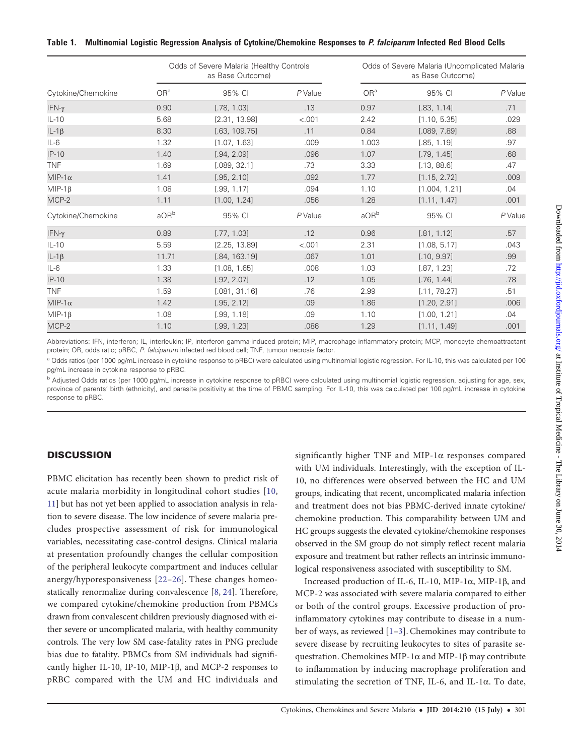#### <span id="page-6-0"></span>Table 1. Multinomial Logistic Regression Analysis of Cytokine/Chemokine Responses to P. falciparum Infected Red Blood Cells

|                    |                 | Odds of Severe Malaria (Healthy Controls<br>as Base Outcome) |         | Odds of Severe Malaria (Uncomplicated Malaria<br>as Base Outcome) |               |         |  |  |  |
|--------------------|-----------------|--------------------------------------------------------------|---------|-------------------------------------------------------------------|---------------|---------|--|--|--|
| Cytokine/Chemokine | OR <sup>a</sup> | 95% CI                                                       | P Value | OR <sup>a</sup>                                                   | 95% CI        | P Value |  |  |  |
| $IFN-\gamma$       | 0.90            | [.78, 1.03]                                                  | .13     | 0.97                                                              | [.83, 1.14]   | .71     |  |  |  |
| $IL-10$            | 5.68            | [2.31, 13.98]                                                | < .001  | 2.42                                                              | [1.10, 5.35]  | .029    |  |  |  |
| $IL-1\beta$        | 8.30            | [.63, 109.75]                                                | .11     | 0.84                                                              | [.089, 7.89]  | .88     |  |  |  |
| $IL-6$             | 1.32            | [1.07, 1.63]                                                 | .009    | 1.003                                                             | [.85, 1.19]   | .97     |  |  |  |
| $IP-10$            | 1.40            | [.94, 2.09]                                                  | .096    | 1.07                                                              | [.79, 1.45]   | .68     |  |  |  |
| <b>TNF</b>         | 1.69            | [.089, 32.1]                                                 | .73     | 3.33                                                              | [.13, 88.6]   | .47     |  |  |  |
| $MIP-1\alpha$      | 1.41            | [.95, 2.10]                                                  | .092    | 1.77                                                              | [1.15, 2.72]  | .009    |  |  |  |
| $MIP-1\beta$       | 1.08            | [.99, 1.17]                                                  | .094    | 1.10                                                              | [1.004, 1.21] | .04     |  |  |  |
| MCP-2              | 1.11            | [1.00, 1.24]                                                 | .056    | 1.28                                                              | [1.11, 1.47]  | .001    |  |  |  |
| Cytokine/Chemokine | aORb            | 95% CI                                                       | P Value | aOR <sup>b</sup>                                                  | 95% CI        | P Value |  |  |  |
| $IFN-\gamma$       | 0.89            | [.77, 1.03]                                                  | .12     | 0.96                                                              | [.81, 1.12]   | .57     |  |  |  |
| $IL-10$            | 5.59            | [2.25, 13.89]                                                | < .001  | 2.31                                                              | [1.08, 5.17]  | .043    |  |  |  |
| $IL-1\beta$        | 11.71           | [.84, 163.19]                                                | .067    | 1.01                                                              | [.10, 9.97]   | .99     |  |  |  |
| $IL-6$             | 1.33            | [1.08, 1.65]                                                 | .008    | 1.03                                                              | [.87, 1.23]   | .72     |  |  |  |
| $IP-10$            | 1.38            | [.92, 2.07]                                                  | .12     | 1.05                                                              | [.76, 1.44]   | .78     |  |  |  |
| <b>TNF</b>         | 1.59            | [.081, 31.16]                                                | .76     | 2.99                                                              | [.11, 78.27]  | .51     |  |  |  |
| $MIP-1\alpha$      | 1.42            | [.95, 2.12]                                                  | .09     | 1.86                                                              | [1.20, 2.91]  | .006    |  |  |  |
| $MIP-1\beta$       | 1.08            | [.99, 1.18]                                                  | .09     | 1.10                                                              | [1.00, 1.21]  | .04     |  |  |  |
| MCP-2              | 1.10            | [.99, 1.23]                                                  | .086    | 1.29                                                              | [1.11, 1.49]  | .001    |  |  |  |

Abbreviations: IFN, interferon; IL, interleukin; IP, interferon gamma-induced protein; MIP, macrophage inflammatory protein; MCP, monocyte chemoattractant protein; OR, odds ratio; pRBC, P. falciparum infected red blood cell; TNF, tumour necrosis factor.

a Odds ratios (per 1000 pg/mL increase in cytokine response to pRBC) were calculated using multinomial logistic regression. For IL-10, this was calculated per 100 pg/mL increase in cytokine response to pRBC.

<sup>b</sup> Adjusted Odds ratios (per 1000 pg/mL increase in cytokine response to pRBC) were calculated using multinomial logistic regression, adjusting for age, sex, province of parents' birth (ethnicity), and parasite positivity at the time of PBMC sampling. For IL-10, this was calculated per 100 pg/mL increase in cytokine response to pRBC.

## **DISCUSSION**

PBMC elicitation has recently been shown to predict risk of acute malaria morbidity in longitudinal cohort studies [\[10,](#page-9-0) [11](#page-9-0)] but has not yet been applied to association analysis in relation to severe disease. The low incidence of severe malaria precludes prospective assessment of risk for immunological variables, necessitating case-control designs. Clinical malaria at presentation profoundly changes the cellular composition of the peripheral leukocyte compartment and induces cellular anergy/hyporesponsiveness [[22](#page-9-0)–[26\]](#page-9-0). These changes homeostatically renormalize during convalescence [\[8,](#page-9-0) [24](#page-9-0)]. Therefore, we compared cytokine/chemokine production from PBMCs drawn from convalescent children previously diagnosed with either severe or uncomplicated malaria, with healthy community controls. The very low SM case-fatality rates in PNG preclude bias due to fatality. PBMCs from SM individuals had significantly higher IL-10, IP-10, MIP-1β, and MCP-2 responses to pRBC compared with the UM and HC individuals and

significantly higher TNF and MIP-1α responses compared with UM individuals. Interestingly, with the exception of IL-10, no differences were observed between the HC and UM groups, indicating that recent, uncomplicated malaria infection and treatment does not bias PBMC-derived innate cytokine/ chemokine production. This comparability between UM and HC groups suggests the elevated cytokine/chemokine responses observed in the SM group do not simply reflect recent malaria exposure and treatment but rather reflects an intrinsic immunological responsiveness associated with susceptibility to SM.

Increased production of IL-6, IL-10, MIP-1α, MIP-1β, and MCP-2 was associated with severe malaria compared to either or both of the control groups. Excessive production of proinflammatory cytokines may contribute to disease in a number of ways, as reviewed [\[1](#page-9-0)–[3\]](#page-9-0). Chemokines may contribute to severe disease by recruiting leukocytes to sites of parasite sequestration. Chemokines MIP-1α and MIP-1β may contribute to inflammation by inducing macrophage proliferation and stimulating the secretion of TNF, IL-6, and IL-1 $\alpha$ . To date,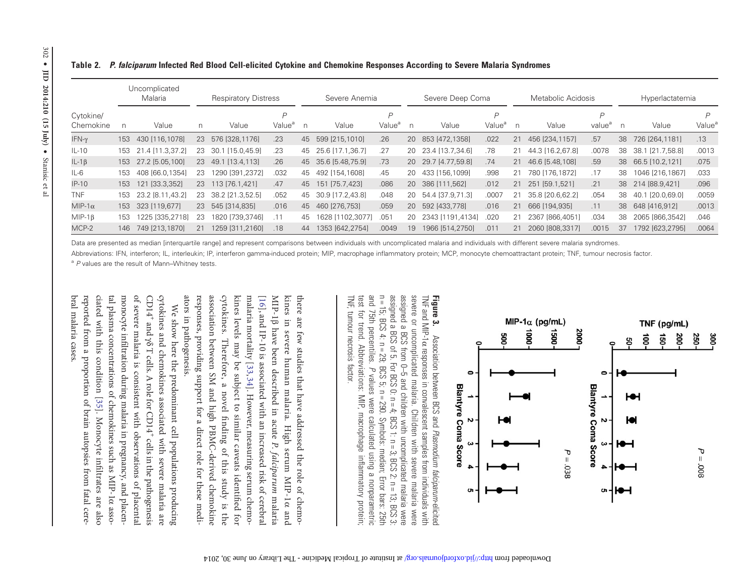<span id="page-7-0"></span>

|  | Table 2. P. falciparum Infected Red Blood Cell-elicited Cytokine and Chemokine Responses According to Severe Malaria Syndromes |  |  |  |  |
|--|--------------------------------------------------------------------------------------------------------------------------------|--|--|--|--|
|--|--------------------------------------------------------------------------------------------------------------------------------|--|--|--|--|

|                        |     | Uncomplicated<br>Malaria |    | <b>Respiratory Distress</b> |                                      | Severe Anemia |                  |                         | Severe Deep Coma |                     | Metabolic Acidosis      |    |                  | Hyperlactatemia         |    |                    |                         |
|------------------------|-----|--------------------------|----|-----------------------------|--------------------------------------|---------------|------------------|-------------------------|------------------|---------------------|-------------------------|----|------------------|-------------------------|----|--------------------|-------------------------|
| Cytokine/<br>Chemokine | n   | Value                    | n  | Value                       | $\overline{P}$<br>Value <sup>a</sup> | n             | Value            | D<br>Value <sup>a</sup> | n.               | Value               | D<br>Value <sup>a</sup> | n  | Value            | D<br>value <sup>a</sup> | n  | Value              | D<br>Value <sup>a</sup> |
| $IFN-\gamma$           | 153 | 430 [116,1078]           | 23 | 576 [328,1176]              | .23                                  | 45            | 599 [215,1010]   | .26                     | 20               | 853 [472,1358]      | .022                    | 21 | 456 [234,1157]   | .57                     | 38 | 726 [264,1181]     | .13                     |
| $IL-10$                | 153 | 21.4 [11.3.37.2]         | 23 | 30.7<br>[15.0.45.9]         | .23                                  | 45            | 25.6 [17.1,36.7] | 27                      | 20               | 23.4 [13.7.34.6]    | .78                     | 21 | 44.3 [16.2,67.8] | .0078                   | 38 | 38.1 [21.7,58.8]   | .0013                   |
| $IL-1\beta$            | 153 | 27.2 [5.05,100]          | 23 | 49.1 [13.4.113]             | .26                                  | 45            | 35.6 [5.48,75.9] | .73                     |                  | 20 29.7 [4.77,59.8] | .74                     | 21 | 46.6 [5.48,108]  | .59                     |    | 38 66.5 [10.2,121] | .075                    |
| $IL-6$                 | 153 | 408 [66.0,1354]          | 23 | 1290 [391,2372]             | .032                                 | 45            | 492 [154,1608]   | .45                     | 20               | 433 [156,1099]      | .998                    | 21 | 780 [176,1872]   | .17                     | 38 | 1046 [216,1867]    | .033                    |
| $IP-10$                | 153 | [33.3, 352]<br>121       | 23 | 113 [76.1.421]              | .47                                  | 45            | 151 [75.7,423]   | .086                    | 20               | 386 [111,562]       | .012                    | 21 | 251 [59.1,521]   | .21                     | 38 | 214 [88.9,421]     | .096                    |
| <b>TNF</b>             | 153 | 23.2 [8.11,43.2]         | 23 | 38.2 [21.3,52.5]            | .052                                 | 45            | 30.9 [17.2.43.8] | .048                    | 20               | 54.4 [37.9.71.3]    | .0007                   | 21 | 35.8 [20.6,62.2] | .054                    | 38 | 40.1 [20.0,69.0]   | .0059                   |
| $MIP-1\alpha$          |     | 153 323 [119,677]        |    | 23 545 [314,835]            | .016                                 | 45            | 460 [276,753]    | .059                    | 20               | 592 [433,778]       | .016                    | 21 | 666 [194,935]    | .11                     |    | 38 648 [416,912]   | .0013                   |
| $MIP-1B$               | 153 | 1225 [335.2718]          | 23 | 1820 [739.3746]             |                                      | 45            | 1628 [1102.3077] | .051                    | 20               | 2343 [1191.4134]    | .020                    | 21 | 2367 1866,40511  | .034                    | 38 | 2065 [866,3542]    | .046                    |
| MCP-2                  | 146 | 749 [213,1870]           | 21 | 1259 [311.2160]             | .18                                  | 44            | 353 [642.2754]   | .0049                   | 19               | 1966 [514,2750]     | .011                    | 21 | 2060 [808,3317]  | .0015                   | 37 | 1792 [623,2795]    | .0064                   |

Data are presented as median [interquartile range] and represent comparisons between individuals with uncomplicated malaria and individuals with different severe malaria syndromes.

Abbreviations: IFN, interferon; IL, interleukin; IP, interferon gamma-induced protein; MIP, macrophage inflammatory protein; MCP, monocyte chemoattractant protein; TNF, tumour necrosis factor.

<sup>a</sup> P values are the result of Mann–Whitney tests.



n = 15; BCS 4: n = 29; BCS 5; n = 290. Symbols: median; Error bars: 25th<br>and 75th percentiles. *P* values were calculated using a nonparametric assigned a BCS of 5. For BCS 0:  $n = 4$ ; BCS 1:  $n = 3$ ; BCS 2:  $n = 13$ ; BCS 3: assigned a BCS from 0-5 and children with uncomplicated malaria were severe or uncomplicated malaria. Children with severe malaria were TNF, tumour necrosis factor. TNF, tumour necrosis factor. test for trend. Abbreviations: MIP, macrophage inflammatory protein; test for trend. Abbreviations: MIP, macrophage inand 75th percentiles. n = 15; BCS 4: n = 29; BCS 5; n = 290. Symbols: median; Error bars: 25th assigned a BCS of 5. For BCS 0:  $n = 4$ ; BCS 2:  $n = 13$ ; BCS 2: assigned a BCS from 0 severe or uncomplicated malaria. Children with severe malaria were TNF and MIP-1 $\alpha$  responses in convalescent samples from individuals with TNF and MIP-1Figure 3. Association between BCS and Plasmodium falciparum-elicited responses in convalescent samples from individuals with –5 and children with uncomplicated malaria were values were calculated using a nonparametric Plasmodium falciparum-elicited ammatory protein;

ators in pathogenesis. responses, providing support for a direct role for these mediassociation between SM and high PBMC-derived chemokine cytokines. ators in pathogenesis. responses, providing support for a direct role for these mediassociation between SM and high PBMC-derived chemokine cytokines. Therefore, a novel kines levels may be subject to similar caveats identimalaria mortality [[33,](#page-10-0) [16], and IP-10 is associated with an increased risk of cerebral [\[16\]](#page-9-0), and IP-10 is associated with an increased risk of cerebral MIP-1β kines in severe human malaria. High serum MIP-1 there are few studies that have addressed the role of chemothere are few studies that have addressed the role of chemohave been described in acute Therefore, a novel finding of this study is the [34\]](#page-10-0). However, measuring serum chemonding of this study is the P. falciparum fied for malaria α and

ciated with this condition [35]. Monocyte infiltrates are also monocyte infiltration during malaria in pregnancy, and placenof severe malaria is consistent with observations of placental CD14<sup>+</sup> and  $\gamma\delta$  T cells. A role for CD14<sup>+</sup> cells in the pathogenesis cytokines and chemokines associated with severe malaria are bral malaria cases. bral malaria cases. reported from a proportion of brain autopsies from fatal cerereported from a proportion of brain autopsies from fatal cereciated with this condition [\[35\]](#page-10-0). Monocyte intal plasma concentrations of chemokines such as MIP-1 $\alpha$  assotal plasma concentrations of chemokines such as MIP-1α monocyte in of severe malaria is consistent with observations of placental cytokines and chemokines associated with severe malaria are *cytokines and chemokines* associated with severe malaria are We show here the predominant cell populations producing We show here the predominant cell populations producing ltration during malaria in pregnancy, and placenltrates are also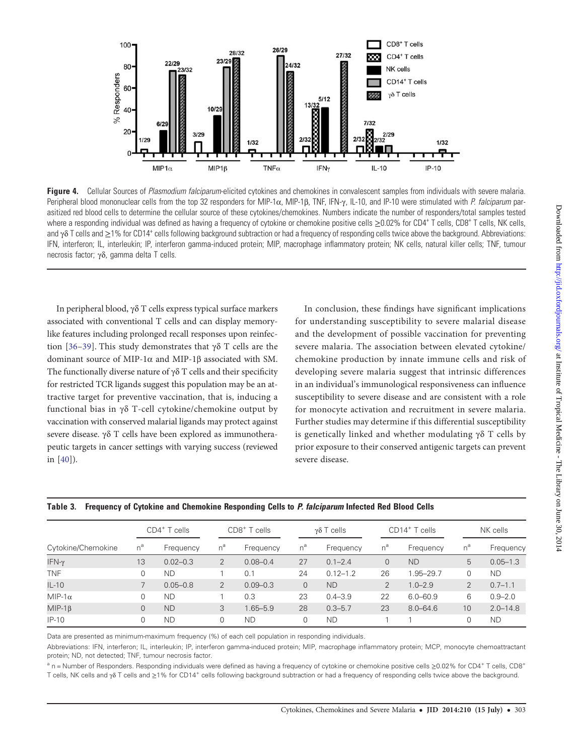<span id="page-8-0"></span>

Figure 4. Cellular Sources of Plasmodium falciparum-elicited cytokines and chemokines in convalescent samples from individuals with severe malaria. Peripheral blood mononuclear cells from the top 32 responders for MIP-1α, MIP-1β, TNF, IFN-γ, IL-10, and IP-10 were stimulated with P. falciparum parasitized red blood cells to determine the cellular source of these cytokines/chemokines. Numbers indicate the number of responders/total samples tested where a responding individual was defined as having a frequency of cytokine or chemokine positive cells ≥0.02% for CD4<sup>+</sup> T cells, CD8<sup>+</sup> T cells, NK cells, and  $\gamma \delta$  T cells and  $\geq 1\%$  for CD14<sup>+</sup> cells following background subtraction or had a frequency of responding cells twice above the background. Abbreviations: IFN, interferon; IL, interleukin; IP, interferon gamma-induced protein; MIP, macrophage inflammatory protein; NK cells, natural killer cells; TNF, tumour necrosis factor; γδ, gamma delta T cells.

In peripheral blood, γδ T cells express typical surface markers associated with conventional T cells and can display memorylike features including prolonged recall responses upon reinfec-tion [\[36](#page-10-0)–[39\]](#page-10-0). This study demonstrates that γδ T cells are the dominant source of MIP-1α and MIP-1β associated with SM. The functionally diverse nature of  $\gamma\delta$  T cells and their specificity for restricted TCR ligands suggest this population may be an attractive target for preventive vaccination, that is, inducing a functional bias in γδ T-cell cytokine/chemokine output by vaccination with conserved malarial ligands may protect against severe disease. γδ T cells have been explored as immunotherapeutic targets in cancer settings with varying success (reviewed in [[40\]](#page-10-0)).

In conclusion, these findings have significant implications for understanding susceptibility to severe malarial disease and the development of possible vaccination for preventing severe malaria. The association between elevated cytokine/ chemokine production by innate immune cells and risk of developing severe malaria suggest that intrinsic differences in an individual's immunological responsiveness can influence susceptibility to severe disease and are consistent with a role for monocyte activation and recruitment in severe malaria. Further studies may determine if this differential susceptibility is genetically linked and whether modulating γδ T cells by prior exposure to their conserved antigenic targets can prevent severe disease.

|                    | CD4 <sup>+</sup> T cells |              | $CDS+$ T cells |              |                | $γδ T$ cells |                | CD14 <sup>+</sup> T cells | NK cells       |              |  |
|--------------------|--------------------------|--------------|----------------|--------------|----------------|--------------|----------------|---------------------------|----------------|--------------|--|
| Cytokine/Chemokine | $n^a$                    | Frequency    | $n^a$          | Frequency    | $n^a$          | Frequency    | $n^a$          | Frequency                 | $n^a$          | Frequency    |  |
| IFN-γ              | 13                       | $0.02 - 0.3$ | 2              | $0.08 - 0.4$ | 27             | $0.1 - 2.4$  | 0              | <b>ND</b>                 | 5              | $0.05 - 1.3$ |  |
| <b>TNF</b>         | 0                        | <b>ND</b>    |                | 0.1          | 24             | $0.12 - 1.2$ | 26             | 1.95-29.7                 | 0              | <b>ND</b>    |  |
| $IL-10$            |                          | $0.05 - 0.8$ | $\overline{2}$ | $0.09 - 0.3$ | $\overline{0}$ | <b>ND</b>    | $\overline{2}$ | $1.0 - 2.9$               | $\overline{2}$ | $0.7 - 1.1$  |  |
| $MIP-1\alpha$      |                          | <b>ND</b>    |                | 0.3          | 23             | $0.4 - 3.9$  | 22             | $6.0 - 60.9$              | 6              | $0.9 - 2.0$  |  |
| $MIP-1\beta$       | 0                        | <b>ND</b>    | 3              | $1.65 - 5.9$ | 28             | $0.3 - 5.7$  | 23             | $8.0 - 64.6$              | 10             | $2.0 - 14.8$ |  |
| $IP-10$            |                          | <b>ND</b>    |                | <b>ND</b>    | 0              | <b>ND</b>    |                |                           | 0              | <b>ND</b>    |  |

|  | Table 3. Frequency of Cytokine and Chemokine Responding Cells to P. falciparum Infected Red Blood Cells |  |  |  |
|--|---------------------------------------------------------------------------------------------------------|--|--|--|
|  |                                                                                                         |  |  |  |

Data are presented as minimum-maximum frequency (%) of each cell population in responding individuals.

Abbreviations: IFN, interferon; IL, interleukin; IP, interferon gamma-induced protein; MIP, macrophage inflammatory protein; MCP, monocyte chemoattractant protein; ND, not detected; TNF, tumour necrosis factor.

<sup>a</sup> n = Number of Responders. Responding individuals were defined as having a frequency of cytokine or chemokine positive cells ≥0.02% for CD4<sup>+</sup> T cells, CD8<sup>+</sup> T cells, NK cells and γδ T cells and ≥1% for CD14<sup>+</sup> cells following background subtraction or had a frequency of responding cells twice above the background.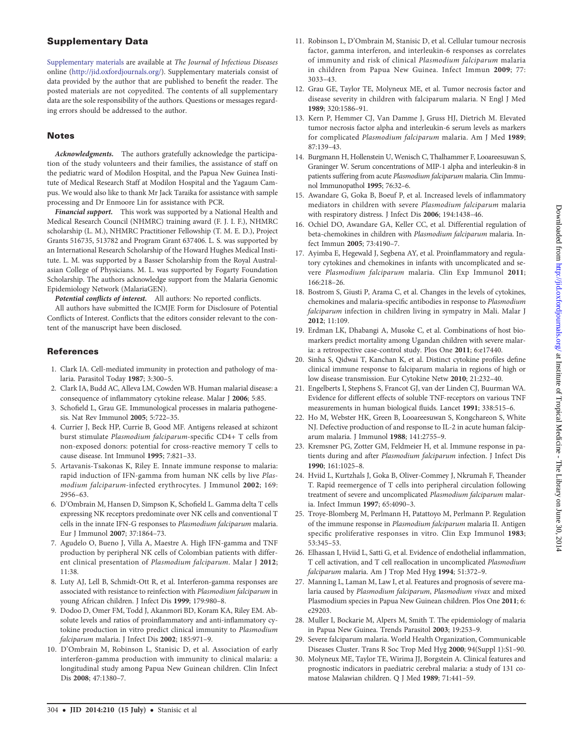# <span id="page-9-0"></span>Supplementary Data

[Supplementary materials](http://jid.oxfordjournals.org/lookup/suppl/doi:10.1093/infdis/jiu083/-/DC1) are available at The Journal of Infectious Diseases online [\(http://jid.oxfordjournals.org/](http://jid.oxfordjournals.org/)). Supplementary materials consist of data provided by the author that are published to benefit the reader. The posted materials are not copyedited. The contents of all supplementary data are the sole responsibility of the authors. Questions or messages regarding errors should be addressed to the author.

## **Notes**

Acknowledgments. The authors gratefully acknowledge the participation of the study volunteers and their families, the assistance of staff on the pediatric ward of Modilon Hospital, and the Papua New Guinea Institute of Medical Research Staff at Modilon Hospital and the Yagaum Campus. We would also like to thank Mr Jack Taraika for assistance with sample processing and Dr Enmoore Lin for assistance with PCR.

Financial support. This work was supported by a National Health and Medical Research Council (NHMRC) training award (F. J. I. F.), NHMRC scholarship (L. M.), NHMRC Practitioner Fellowship (T. M. E. D.), Project Grants 516735, 513782 and Program Grant 637406. L. S. was supported by an International Research Scholarship of the Howard Hughes Medical Institute. L. M. was supported by a Basser Scholarship from the Royal Australasian College of Physicians. M. L. was supported by Fogarty Foundation Scholarship. The authors acknowledge support from the Malaria Genomic Epidemiology Network (MalariaGEN).

Potential conflicts of interest. All authors: No reported conflicts.

All authors have submitted the ICMJE Form for Disclosure of Potential Conflicts of Interest. Conflicts that the editors consider relevant to the content of the manuscript have been disclosed.

## **References**

- 1. Clark IA. Cell-mediated immunity in protection and pathology of malaria. Parasitol Today 1987; 3:300–5.
- 2. Clark IA, Budd AC, Alleva LM, Cowden WB. Human malarial disease: a consequence of inflammatory cytokine release. Malar J 2006; 5:85.
- 3. Schofield L, Grau GE. Immunological processes in malaria pathogenesis. Nat Rev Immunol 2005; 5:722–35.
- 4. Currier J, Beck HP, Currie B, Good MF. Antigens released at schizont burst stimulate Plasmodium falciparum-specific CD4+ T cells from non-exposed donors: potential for cross-reactive memory T cells to cause disease. Int Immunol 1995; 7:821–33.
- 5. Artavanis-Tsakonas K, Riley E. Innate immune response to malaria: rapid induction of IFN-gamma from human NK cells by live Plasmodium falciparum-infected erythrocytes. J Immunol 2002; 169: 2956–63.
- 6. D'Ombrain M, Hansen D, Simpson K, Schofield L. Gamma delta T cells expressing NK receptors predominate over NK cells and conventional T cells in the innate IFN-G responses to Plasmodium falciparum malaria. Eur J Immunol 2007; 37:1864–73.
- 7. Agudelo O, Bueno J, Villa A, Maestre A. High IFN-gamma and TNF production by peripheral NK cells of Colombian patients with different clinical presentation of Plasmodium falciparum. Malar J 2012; 11:38.
- 8. Luty AJ, Lell B, Schmidt-Ott R, et al. Interferon-gamma responses are associated with resistance to reinfection with Plasmodium falciparum in young African children. J Infect Dis 1999; 179:980–8.
- 9. Dodoo D, Omer FM, Todd J, Akanmori BD, Koram KA, Riley EM. Absolute levels and ratios of proinflammatory and anti-inflammatory cytokine production in vitro predict clinical immunity to Plasmodium falciparum malaria. J Infect Dis 2002; 185:971-9.
- 10. D'Ombrain M, Robinson L, Stanisic D, et al. Association of early interferon-gamma production with immunity to clinical malaria: a longitudinal study among Papua New Guinean children. Clin Infect Dis 2008; 47:1380–7.
- 11. Robinson L, D'Ombrain M, Stanisic D, et al. Cellular tumour necrosis factor, gamma interferon, and interleukin-6 responses as correlates of immunity and risk of clinical Plasmodium falciparum malaria in children from Papua New Guinea. Infect Immun 2009; 77: 3033–43.
- 12. Grau GE, Taylor TE, Molyneux ME, et al. Tumor necrosis factor and disease severity in children with falciparum malaria. N Engl J Med 1989; 320:1586–91.
- 13. Kern P, Hemmer CJ, Van Damme J, Gruss HJ, Dietrich M. Elevated tumor necrosis factor alpha and interleukin-6 serum levels as markers for complicated Plasmodium falciparum malaria. Am J Med 1989; 87:139–43.
- 14. Burgmann H, Hollenstein U, Wenisch C, Thalhammer F, Looareesuwan S, Graninger W. Serum concentrations of MIP-1 alpha and interleukin-8 in patients suffering from acute Plasmodium falciparum malaria. Clin Immunol Immunopathol 1995; 76:32–6.
- 15. Awandare G, Goka B, Boeuf P, et al. Increased levels of inflammatory mediators in children with severe Plasmodium falciparum malaria with respiratory distress. J Infect Dis 2006; 194:1438–46.
- 16. Ochiel DO, Awandare GA, Keller CC, et al. Differential regulation of beta-chemokines in children with Plasmodium falciparum malaria. Infect Immun 2005; 73:4190–7.
- 17. Ayimba E, Hegewald J, Segbena AY, et al. Proinflammatory and regulatory cytokines and chemokines in infants with uncomplicated and severe Plasmodium falciparum malaria. Clin Exp Immunol 2011; 166:218–26.
- 18. Bostrom S, Giusti P, Arama C, et al. Changes in the levels of cytokines, chemokines and malaria-specific antibodies in response to Plasmodium falciparum infection in children living in sympatry in Mali. Malar J 2012; 11:109.
- 19. Erdman LK, Dhabangi A, Musoke C, et al. Combinations of host biomarkers predict mortality among Ugandan children with severe malaria: a retrospective case-control study. Plos One 2011; 6:e17440.
- 20. Sinha S, Qidwai T, Kanchan K, et al. Distinct cytokine profiles define clinical immune response to falciparum malaria in regions of high or low disease transmission. Eur Cytokine Netw 2010; 21:232–40.
- 21. Engelberts I, Stephens S, Francot GJ, van der Linden CJ, Buurman WA. Evidence for different effects of soluble TNF-receptors on various TNF measurements in human biological fluids. Lancet 1991; 338:515–6.
- 22. Ho M, Webster HK, Green B, Looareesuwan S, Kongchareon S, White NJ. Defective production of and response to IL-2 in acute human falciparum malaria. J Immunol 1988; 141:2755–9.
- 23. Kremsner PG, Zotter GM, Feldmeier H, et al. Immune response in patients during and after Plasmodium falciparum infection. J Infect Dis 1990; 161:1025–8.
- 24. Hviid L, Kurtzhals J, Goka B, Oliver-Commey J, Nkrumah F, Theander T. Rapid reemergence of T cells into peripheral circulation following treatment of severe and uncomplicated Plasmodium falciparum malaria. Infect Immun 1997; 65:4090–3.
- 25. Troye-Blomberg M, Perlmann H, Patattoyo M, Perlmann P. Regulation of the immune response in Plasmodium falciparum malaria II. Antigen specific proliferative responses in vitro. Clin Exp Immunol 1983; 53:345–53.
- 26. Elhassan I, Hviid L, Satti G, et al. Evidence of endothelial inflammation, T cell activation, and T cell reallocation in uncomplicated Plasmodium falciparum malaria. Am J Trop Med Hyg 1994; 51:372–9.
- 27. Manning L, Laman M, Law I, et al. Features and prognosis of severe malaria caused by Plasmodium falciparum, Plasmodium vivax and mixed Plasmodium species in Papua New Guinean children. Plos One 2011; 6: e29203.
- 28. Muller I, Bockarie M, Alpers M, Smith T. The epidemiology of malaria in Papua New Guinea. Trends Parasitol 2003; 19:253–9.
- 29. Severe falciparum malaria. World Health Organization, Communicable Diseases Cluster. Trans R Soc Trop Med Hyg 2000; 94(Suppl 1):S1–90.
- 30. Molyneux ME, Taylor TE, Wirima JJ, Borgstein A. Clinical features and prognostic indicators in paediatric cerebral malaria: a study of 131 comatose Malawian children. Q J Med 1989; 71:441–59.